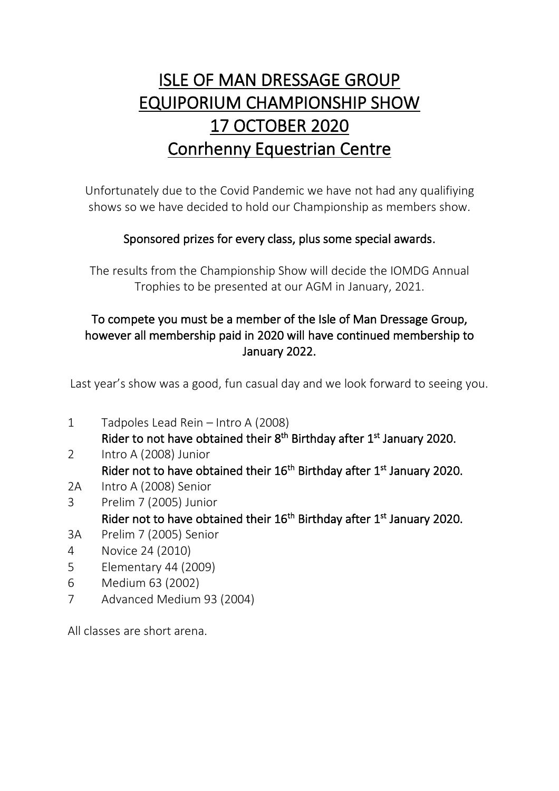# ISLE OF MAN DRESSAGE GROUP EQUIPORIUM CHAMPIONSHIP SHOW 17 OCTOBER 2020 Conrhenny Equestrian Centre

Unfortunately due to the Covid Pandemic we have not had any qualifiying shows so we have decided to hold our Championship as members show.

# Sponsored prizes for every class, plus some special awards.

The results from the Championship Show will decide the IOMDG Annual Trophies to be presented at our AGM in January, 2021.

# To compete you must be a member of the Isle of Man Dressage Group, however all membership paid in 2020 will have continued membership to January 2022.

Last year's show was a good, fun casual day and we look forward to seeing you.

- 1 Tadpoles Lead Rein Intro A (2008) Rider to not have obtained their 8<sup>th</sup> Birthday after 1<sup>st</sup> January 2020.
- 2 Intro A (2008) Junior Rider not to have obtained their 16<sup>th</sup> Birthday after 1<sup>st</sup> January 2020.
- 2A Intro A (2008) Senior
- 3 Prelim 7 (2005) Junior Rider not to have obtained their 16<sup>th</sup> Birthday after 1<sup>st</sup> January 2020.
- 3A Prelim 7 (2005) Senior
- 4 Novice 24 (2010)
- 5 Elementary 44 (2009)
- 6 Medium 63 (2002)
- 7 Advanced Medium 93 (2004)

All classes are short arena.